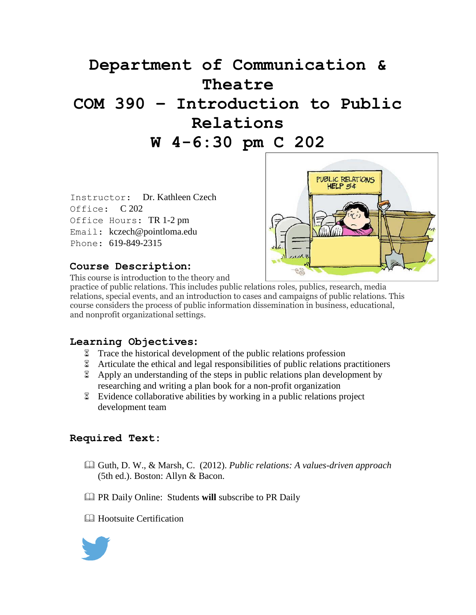# **Department of Communication & Theatre COM 390 – Introduction to Public Relations W 4-6:30 pm C 202**

Instructor: Dr. Kathleen Czech Office: C 202 Office Hours: TR 1-2 pm Email: kczech@pointloma.edu Phone: 619-849-2315



#### **Course Description:**

This course is introduction to the theory and

practice of public relations. This includes public relations roles, publics, research, media relations, special events, and an introduction to cases and campaigns of public relations. This course considers the process of public information dissemination in business, educational, and nonprofit organizational settings.

#### **Learning Objectives:**

- Trace the historical development of the public relations profession
- Articulate the ethical and legal responsibilities of public relations practitioners
- Apply an understanding of the steps in public relations plan development by researching and writing a plan book for a non-profit organization
- Evidence collaborative abilities by working in a public relations project development team

#### **Required Text:**

- Guth, D. W., & Marsh, C. (2012). *Public relations: A values-driven approach*  (5th ed.). Boston: Allyn & Bacon.
- PR Daily Online: Students **will** subscribe to PR Daily
- **E** Hootsuite Certification

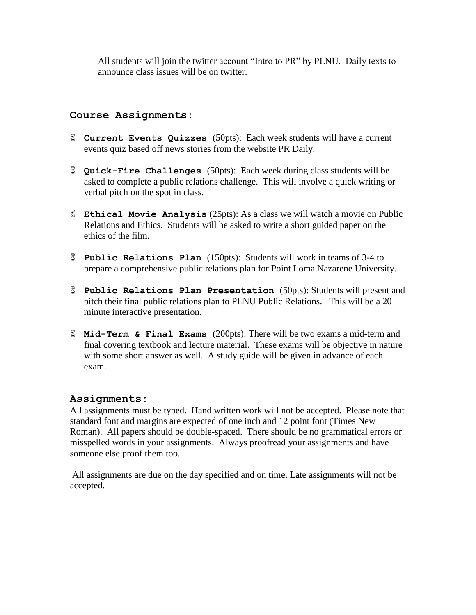All students will join the twitter account "Intro to PR" by PLNU. Daily texts to announce class issues will be on twitter.

#### **Course Assignments:**

- **Current Events Quizzes** (50pts): Each week students will have a current events quiz based off news stories from the website PR Daily.
- **Quick-Fire Challenges** (50pts): Each week during class students will be asked to complete a public relations challenge. This will involve a quick writing or verbal pitch on the spot in class.
- **Ethical Movie Analysis** (25pts): As a class we will watch a movie on Public Relations and Ethics. Students will be asked to write a short guided paper on the ethics of the film.
- **Public Relations Plan** (150pts): Students will work in teams of 3-4 to prepare a comprehensive public relations plan for Point Loma Nazarene University.
- **Public Relations Plan Presentation** (50pts): Students will present and pitch their final public relations plan to PLNU Public Relations. This will be a 20 minute interactive presentation.
- **Mid-Term & Final Exams** (200pts): There will be two exams a mid-term and final covering textbook and lecture material. These exams will be objective in nature with some short answer as well. A study guide will be given in advance of each exam.

#### **Assignments:**

All assignments must be typed. Hand written work will not be accepted. Please note that standard font and margins are expected of one inch and 12 point font (Times New Roman). All papers should be double-spaced. There should be no grammatical errors or misspelled words in your assignments. Always proofread your assignments and have someone else proof them too.

All assignments are due on the day specified and on time. Late assignments will not be accepted.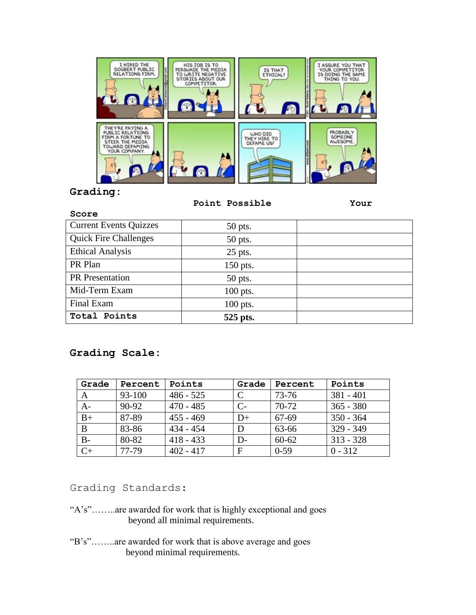

#### **Grading:**

 **Point Possible Your** 

| Score                         |            |  |
|-------------------------------|------------|--|
| <b>Current Events Quizzes</b> | 50 pts.    |  |
| <b>Quick Fire Challenges</b>  | 50 pts.    |  |
| <b>Ethical Analysis</b>       | $25$ pts.  |  |
| PR Plan                       | 150 pts.   |  |
| PR Presentation               | 50 pts.    |  |
| Mid-Term Exam                 | $100$ pts. |  |
| Final Exam                    | 100 pts.   |  |
| Total Points                  | 525 pts.   |  |

# **Grading Scale:**

| Grade | Percent | Points      | Grade | Percent   | Points      |
|-------|---------|-------------|-------|-----------|-------------|
| A     | 93-100  | $486 - 525$ |       | 73-76     | $381 - 401$ |
| $A-$  | 90-92   | $470 - 485$ | $C-$  | $70-72$   | $365 - 380$ |
| $B+$  | 87-89   | $455 - 469$ | D+    | 67-69     | $350 - 364$ |
| B     | 83-86   | $434 - 454$ | D     | 63-66     | $329 - 349$ |
| $B -$ | 80-82   | $418 - 433$ | D-    | $60 - 62$ | $313 - 328$ |
| $C+$  | 77-79   | $402 - 417$ | F     | $0-59$    | $0 - 312$   |

Grading Standards:

- "A's"……..are awarded for work that is highly exceptional and goes beyond all minimal requirements.
- "B's"……..are awarded for work that is above average and goes beyond minimal requirements.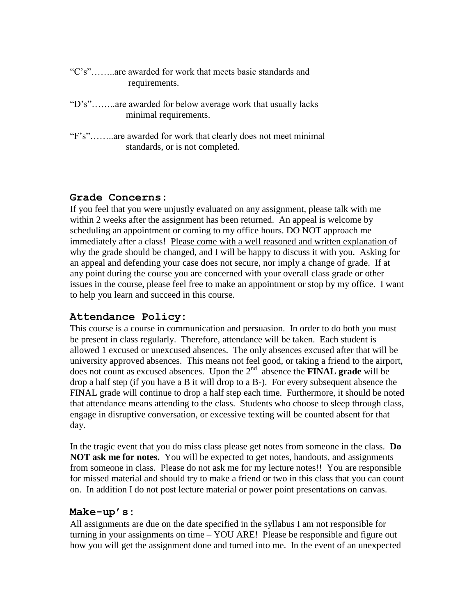- "C's"……..are awarded for work that meets basic standards and requirements.
- "D's"……..are awarded for below average work that usually lacks minimal requirements.
- "F's"……..are awarded for work that clearly does not meet minimal standards, or is not completed.

# **Grade Concerns:**

If you feel that you were unjustly evaluated on any assignment, please talk with me within 2 weeks after the assignment has been returned. An appeal is welcome by scheduling an appointment or coming to my office hours. DO NOT approach me immediately after a class! Please come with a well reasoned and written explanation of why the grade should be changed, and I will be happy to discuss it with you. Asking for an appeal and defending your case does not secure, nor imply a change of grade. If at any point during the course you are concerned with your overall class grade or other issues in the course, please feel free to make an appointment or stop by my office. I want to help you learn and succeed in this course.

# **Attendance Policy:**

This course is a course in communication and persuasion. In order to do both you must be present in class regularly. Therefore, attendance will be taken. Each student is allowed 1 excused or unexcused absences. The only absences excused after that will be university approved absences. This means not feel good, or taking a friend to the airport, does not count as excused absences. Upon the 2nd absence the **FINAL grade** will be drop a half step (if you have a B it will drop to a B-). For every subsequent absence the FINAL grade will continue to drop a half step each time. Furthermore, it should be noted that attendance means attending to the class. Students who choose to sleep through class, engage in disruptive conversation, or excessive texting will be counted absent for that day.

In the tragic event that you do miss class please get notes from someone in the class. **Do NOT ask me for notes.** You will be expected to get notes, handouts, and assignments from someone in class. Please do not ask me for my lecture notes!! You are responsible for missed material and should try to make a friend or two in this class that you can count on. In addition I do not post lecture material or power point presentations on canvas.

# **Make-up's:**

All assignments are due on the date specified in the syllabus I am not responsible for turning in your assignments on time – YOU ARE! Please be responsible and figure out how you will get the assignment done and turned into me. In the event of an unexpected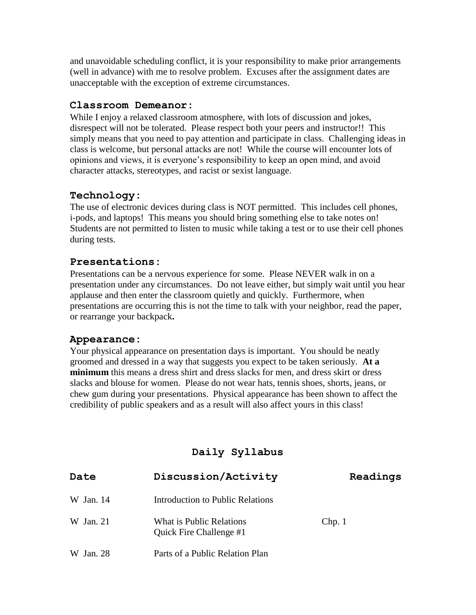and unavoidable scheduling conflict, it is your responsibility to make prior arrangements (well in advance) with me to resolve problem. Excuses after the assignment dates are unacceptable with the exception of extreme circumstances.

#### **Classroom Demeanor:**

While I enjoy a relaxed classroom atmosphere, with lots of discussion and jokes, disrespect will not be tolerated. Please respect both your peers and instructor!! This simply means that you need to pay attention and participate in class. Challenging ideas in class is welcome, but personal attacks are not! While the course will encounter lots of opinions and views, it is everyone's responsibility to keep an open mind, and avoid character attacks, stereotypes, and racist or sexist language.

# **Technology:**

The use of electronic devices during class is NOT permitted. This includes cell phones, i-pods, and laptops! This means you should bring something else to take notes on! Students are not permitted to listen to music while taking a test or to use their cell phones during tests.

# **Presentations:**

Presentations can be a nervous experience for some. Please NEVER walk in on a presentation under any circumstances. Do not leave either, but simply wait until you hear applause and then enter the classroom quietly and quickly. Furthermore, when presentations are occurring this is not the time to talk with your neighbor, read the paper, or rearrange your backpack**.** 

# **Appearance:**

Your physical appearance on presentation days is important. You should be neatly groomed and dressed in a way that suggests you expect to be taken seriously. **At a minimum** this means a dress shirt and dress slacks for men, and dress skirt or dress slacks and blouse for women. Please do not wear hats, tennis shoes, shorts, jeans, or chew gum during your presentations. Physical appearance has been shown to affect the credibility of public speakers and as a result will also affect yours in this class!

# **Daily Syllabus**

| Date      | Discussion/Activity                                 | Readings |
|-----------|-----------------------------------------------------|----------|
| W Jan. 14 | Introduction to Public Relations                    |          |
| W Jan. 21 | What is Public Relations<br>Quick Fire Challenge #1 | Chp.1    |
| W Jan. 28 | Parts of a Public Relation Plan                     |          |